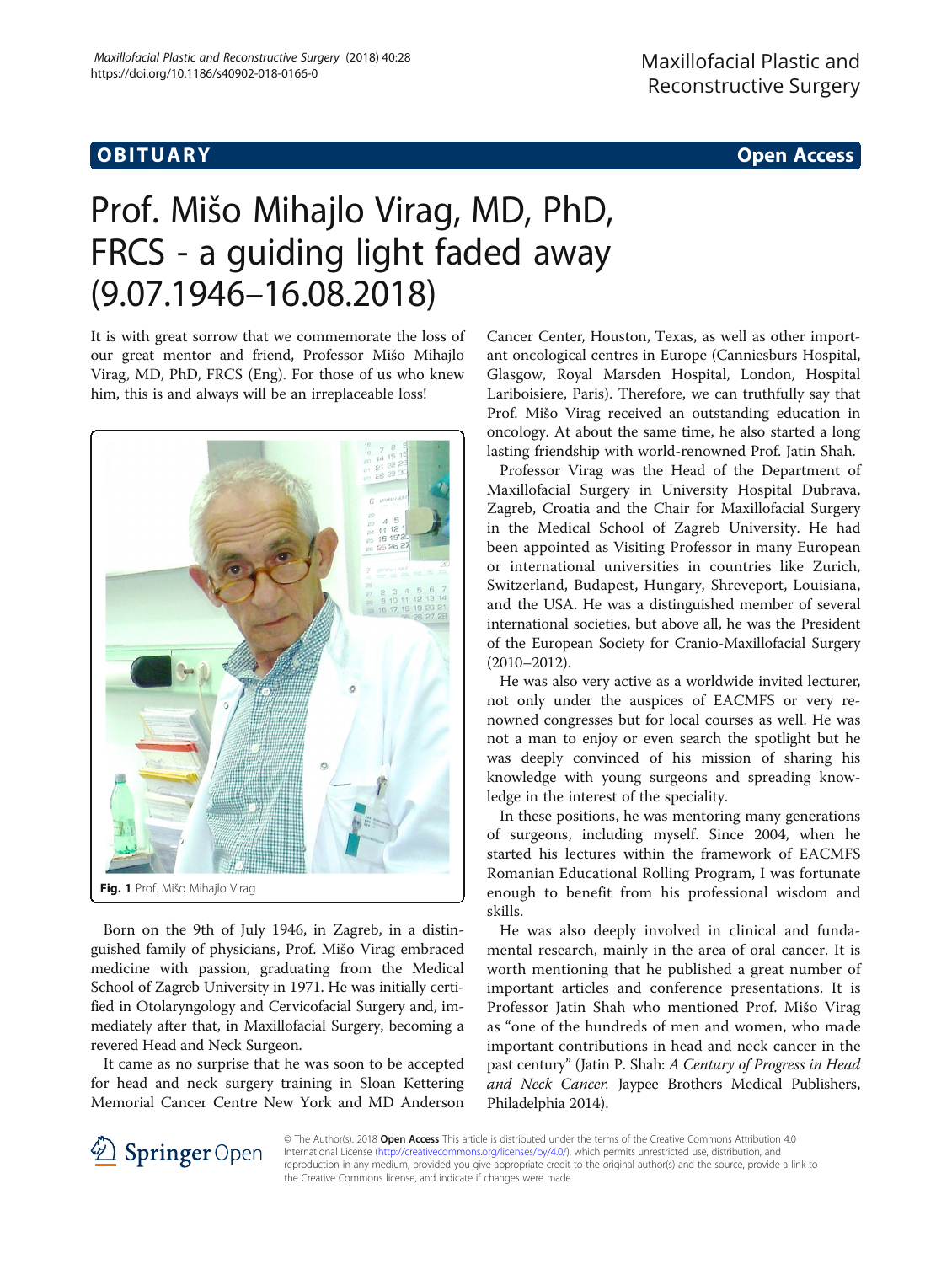## Obiective and the contract of the contract of the contract of the contract of the contract of the contract of the<br>The contract of the contract of the contract of the contract of the contract of the contract of the contract

# Prof. Mišo Mihajlo Virag, MD, PhD, FRCS - a guiding light faded away (9.07.1946–16.08.2018)

It is with great sorrow that we commemorate the loss of our great mentor and friend, Professor Mišo Mihajlo Virag, MD, PhD, FRCS (Eng). For those of us who knew him, this is and always will be an irreplaceable loss!



Born on the 9th of July 1946, in Zagreb, in a distinguished family of physicians, Prof. Mišo Virag embraced medicine with passion, graduating from the Medical School of Zagreb University in 1971. He was initially certified in Otolaryngology and Cervicofacial Surgery and, immediately after that, in Maxillofacial Surgery, becoming a revered Head and Neck Surgeon.

It came as no surprise that he was soon to be accepted for head and neck surgery training in Sloan Kettering Memorial Cancer Centre New York and MD Anderson

Cancer Center, Houston, Texas, as well as other important oncological centres in Europe (Canniesburs Hospital, Glasgow, Royal Marsden Hospital, London, Hospital Lariboisiere, Paris). Therefore, we can truthfully say that Prof. Mišo Virag received an outstanding education in oncology. At about the same time, he also started a long lasting friendship with world-renowned Prof. Jatin Shah.

Professor Virag was the Head of the Department of Maxillofacial Surgery in University Hospital Dubrava, Zagreb, Croatia and the Chair for Maxillofacial Surgery in the Medical School of Zagreb University. He had been appointed as Visiting Professor in many European or international universities in countries like Zurich, Switzerland, Budapest, Hungary, Shreveport, Louisiana, and the USA. He was a distinguished member of several international societies, but above all, he was the President of the European Society for Cranio-Maxillofacial Surgery (2010–2012).

He was also very active as a worldwide invited lecturer, not only under the auspices of EACMFS or very renowned congresses but for local courses as well. He was not a man to enjoy or even search the spotlight but he was deeply convinced of his mission of sharing his knowledge with young surgeons and spreading knowledge in the interest of the speciality.

In these positions, he was mentoring many generations of surgeons, including myself. Since 2004, when he started his lectures within the framework of EACMFS Romanian Educational Rolling Program, I was fortunate enough to benefit from his professional wisdom and skills.

He was also deeply involved in clinical and fundamental research, mainly in the area of oral cancer. It is worth mentioning that he published a great number of important articles and conference presentations. It is Professor Jatin Shah who mentioned Prof. Mišo Virag as "one of the hundreds of men and women, who made important contributions in head and neck cancer in the past century" (Jatin P. Shah: A Century of Progress in Head and Neck Cancer. Jaypee Brothers Medical Publishers, Philadelphia 2014).



© The Author(s). 2018 Open Access This article is distributed under the terms of the Creative Commons Attribution 4.0 International License ([http://creativecommons.org/licenses/by/4.0/\)](http://creativecommons.org/licenses/by/4.0/), which permits unrestricted use, distribution, and reproduction in any medium, provided you give appropriate credit to the original author(s) and the source, provide a link to the Creative Commons license, and indicate if changes were made.